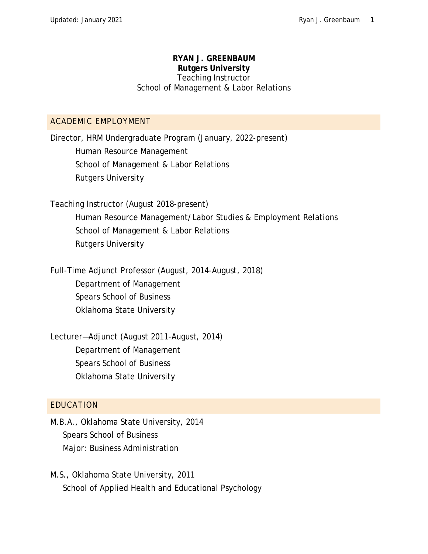#### **RYAN J. GREENBAUM Rutgers University** Teaching Instructor School of Management & Labor Relations

### ACADEMIC EMPLOYMENT

Director, HRM Undergraduate Program (January, 2022-present) Human Resource Management School of Management & Labor Relations Rutgers University

Teaching Instructor (August 2018-present) Human Resource Management/Labor Studies & Employment Relations School of Management & Labor Relations Rutgers University

Full-Time Adjunct Professor (August, 2014-August, 2018) Department of Management Spears School of Business Oklahoma State University

Lecturer—Adjunct (August 2011-August, 2014) Department of Management Spears School of Business Oklahoma State University

## EDUCATION

M.B.A., Oklahoma State University, 2014 Spears School of Business Major: Business Administration

M.S., Oklahoma State University, 2011 School of Applied Health and Educational Psychology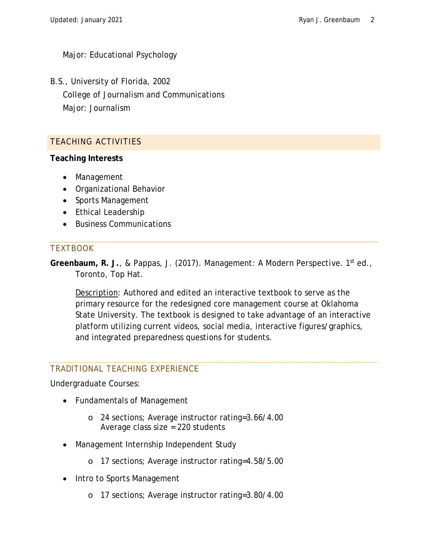Major: Educational Psychology

B.S., University of Florida, 2002 College of Journalism and Communications Major: Journalism

# TEACHING ACTIVITIES

**Teaching Interests**

- Management
- Organizational Behavior
- Sports Management
- Ethical Leadership
- Business Communications

# **TEXTBOOK**

**Greenbaum, R. J.**, & Pappas, J. (2017). *Management: A Modern Perspective*. 1st ed., Toronto, Top Hat.

Description: Authored and edited an interactive textbook to serve as the primary resource for the redesigned core management course at Oklahoma State University. The textbook is designed to take advantage of an interactive platform utilizing current videos, social media, interactive figures/graphics, and integrated preparedness questions for students.

## TRADITIONAL TEACHING EXPERIENCE

Undergraduate Courses:

- Fundamentals of Management
	- o 24 sections; Average instructor rating=3.66/4.00 Average class size = 220 students
- Management Internship Independent Study
	- o 17 sections; Average instructor rating=4.58/5.00
- Intro to Sports Management
	- o 17 sections; Average instructor rating=3.80/4.00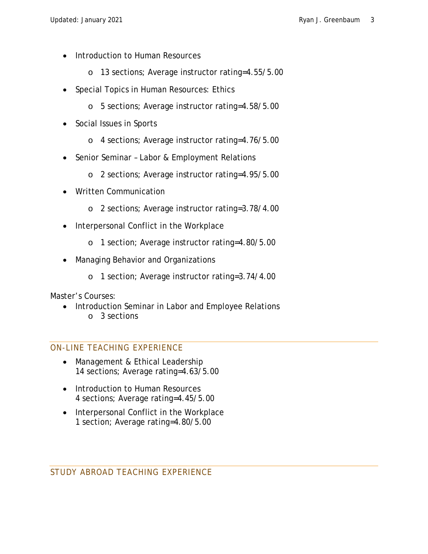- Introduction to Human Resources
	- o 13 sections; Average instructor rating=4.55/5.00
- Special Topics in Human Resources: Ethics
	- o 5 sections; Average instructor rating=4.58/5.00
- Social Issues in Sports
	- o 4 sections; Average instructor rating=4.76/5.00
- Senior Seminar Labor & Employment Relations
	- o 2 sections; Average instructor rating=4.95/5.00
- Written Communication
	- o 2 sections; Average instructor rating=3.78/4.00
- Interpersonal Conflict in the Workplace
	- o 1 section; Average instructor rating=4.80/5.00
- Managing Behavior and Organizations
	- o 1 section; Average instructor rating=3.74/4.00

Master's Courses:

• Introduction Seminar in Labor and Employee Relations o 3 sections

#### ON-LINE TEACHING EXPERIENCE

- Management & Ethical Leadership 14 sections; Average rating=4.63/5.00
- Introduction to Human Resources 4 sections; Average rating=4.45/5.00
- Interpersonal Conflict in the Workplace 1 section; Average rating=4.80/5.00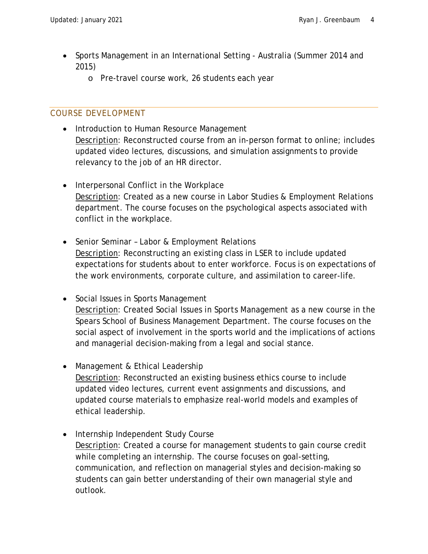- Sports Management in an International Setting Australia (Summer 2014 and 2015)
	- o Pre-travel course work, 26 students each year

# COURSE DEVELOPMENT

- Introduction to Human Resource Management Description: Reconstructed course from an in-person format to online; includes updated video lectures, discussions, and simulation assignments to provide relevancy to the job of an HR director.
- Interpersonal Conflict in the Workplace Description: Created as a new course in Labor Studies & Employment Relations department. The course focuses on the psychological aspects associated with conflict in the workplace.
- Senior Seminar Labor & Employment Relations Description: Reconstructing an existing class in LSER to include updated expectations for students about to enter workforce. Focus is on expectations of the work environments, corporate culture, and assimilation to career-life.
- Social Issues in Sports Management Description: Created *Social Issues in Sports Management* as a new course in the Spears School of Business Management Department. The course focuses on the social aspect of involvement in the sports world and the implications of actions and managerial decision-making from a legal and social stance.
- Management & Ethical Leadership Description: Reconstructed an existing business ethics course to include updated video lectures, current event assignments and discussions, and updated course materials to emphasize real-world models and examples of ethical leadership.
- Internship Independent Study Course Description: Created a course for management students to gain course credit while completing an internship. The course focuses on goal-setting, communication, and reflection on managerial styles and decision-making so students can gain better understanding of their own managerial style and outlook.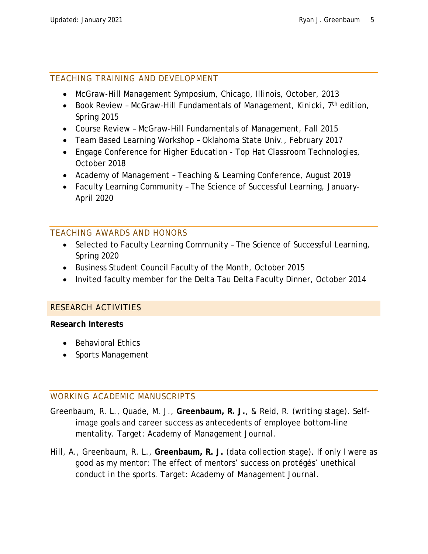# TEACHING TRAINING AND DEVELOPMENT

- McGraw-Hill Management Symposium, Chicago, Illinois, October, 2013
- Book Review McGraw-Hill Fundamentals of Management, Kinicki,  $7<sup>th</sup>$  edition, Spring 2015
- Course Review McGraw-Hill Fundamentals of Management, Fall 2015
- Team Based Learning Workshop Oklahoma State Univ., February 2017
- Engage Conference for Higher Education Top Hat Classroom Technologies, October 2018
- Academy of Management Teaching & Learning Conference, August 2019
- Faculty Learning Community The Science of Successful Learning, January-April 2020

# TEACHING AWARDS AND HONORS

- Selected to Faculty Learning Community *The Science of Successful Learning*, Spring 2020
- Business Student Council Faculty of the Month, October 2015
- Invited faculty member for the Delta Tau Delta Faculty Dinner, October 2014

## RESEARCH ACTIVITIES

#### **Research Interests**

- Behavioral Ethics
- Sports Management

## WORKING ACADEMIC MANUSCRIPTS

- Greenbaum, R. L., Quade, M. J., **Greenbaum, R. J.**, & Reid, R. (writing stage). Selfimage goals and career success as antecedents of employee bottom-line mentality. Target: *Academy of Management Journal*.
- Hill, A., Greenbaum, R. L., **Greenbaum, R. J.** (data collection stage). If only I were as good as my mentor: The effect of mentors' success on protégés' unethical conduct in the sports. Target: *Academy of Management Journal*.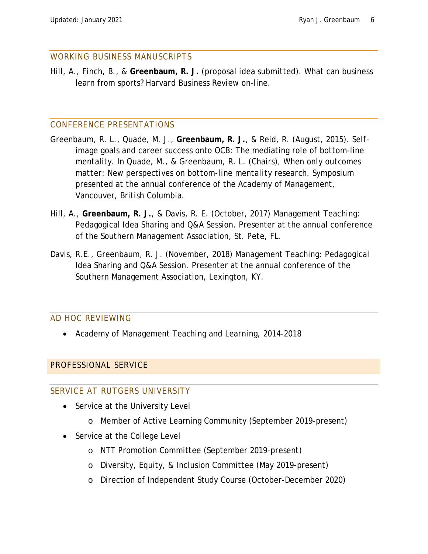#### WORKING BUSINESS MANUSCRIPTS

Hill, A., Finch, B., & **Greenbaum, R. J.** (proposal idea submitted). What can business learn from sports? *Harvard Business Review* on-line.

#### CONFERENCE PRESENTATIONS

- Greenbaum, R. L., Quade, M. J., **Greenbaum, R. J.**, & Reid, R. (August, 2015). Selfimage goals and career success onto OCB: The mediating role of bottom-line mentality. In Quade, M., & Greenbaum, R. L. (Chairs), *When only outcomes matter: New perspectives on bottom-line mentality research*. Symposium presented at the annual conference of the Academy of Management, Vancouver, British Columbia.
- Hill, A., **Greenbaum, R. J.**, & Davis, R. E. (October, 2017) Management Teaching: Pedagogical Idea Sharing and Q&A Session. Presenter at the annual conference of the Southern Management Association, St. Pete, FL.
- Davis, R.E., Greenbaum, R. J. (November, 2018) Management Teaching: Pedagogical Idea Sharing and Q&A Session. Presenter at the annual conference of the Southern Management Association, Lexington, KY.

## AD HOC REVIEWING

• *Academy of Management Teaching and Learning*, 2014-2018

## PROFESSIONAL SERVICE

#### SERVICE AT RUTGERS UNIVERSITY

- Service at the University Level
	- o Member of Active Learning Community (September 2019-present)
- Service at the College Level
	- o NTT Promotion Committee (September 2019-present)
	- o Diversity, Equity, & Inclusion Committee (May 2019-present)
	- o Direction of Independent Study Course (October-December 2020)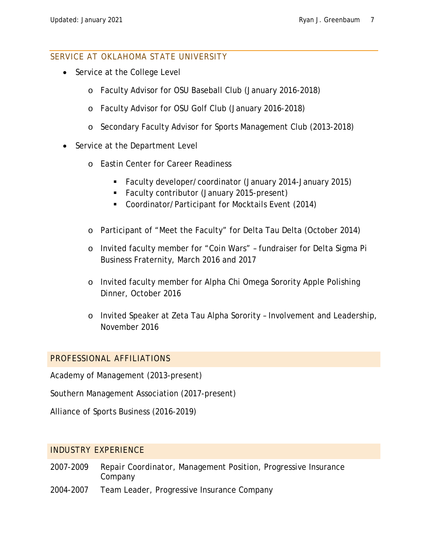#### SERVICE AT OKLAHOMA STATE UNIVERSITY

- Service at the College Level
	- o Faculty Advisor for OSU Baseball Club (January 2016-2018)
	- o Faculty Advisor for OSU Golf Club (January 2016-2018)
	- o Secondary Faculty Advisor for Sports Management Club (2013-2018)
- Service at the Department Level
	- o Eastin Center for Career Readiness
		- Faculty developer/coordinator (January 2014-January 2015)
		- Faculty contributor (January 2015-present)
		- Coordinator/Participant for Mocktails Event (2014)
	- o Participant of "Meet the Faculty" for Delta Tau Delta (October 2014)
	- o Invited faculty member for "Coin Wars" fundraiser for Delta Sigma Pi Business Fraternity, March 2016 and 2017
	- o Invited faculty member for Alpha Chi Omega Sorority Apple Polishing Dinner, October 2016
	- o Invited Speaker at Zeta Tau Alpha Sorority Involvement and Leadership, November 2016

## PROFESSIONAL AFFILIATIONS

Academy of Management (2013-present)

Southern Management Association (2017-present)

Alliance of Sports Business (2016-2019)

## INDUSTRY EXPERIENCE

- 2007-2009 *Repair Coordinator*, Management Position, Progressive Insurance **Company**
- 2004-2007 *Team Leader*, Progressive Insurance Company